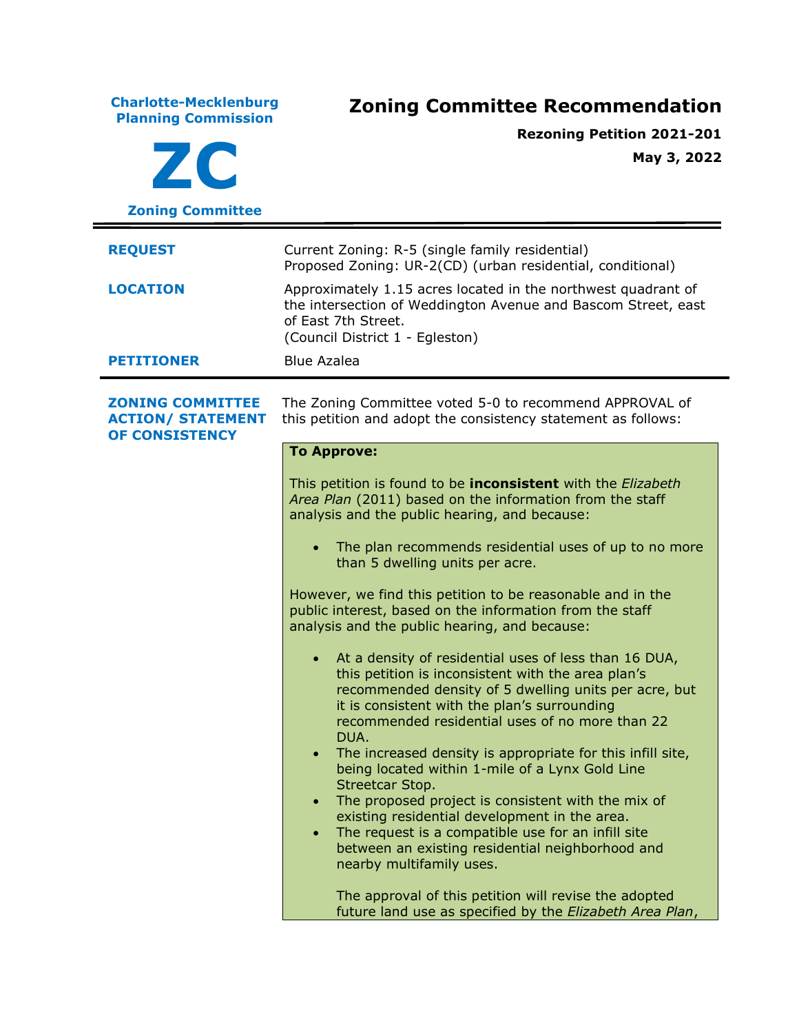**Charlotte-Mecklenburg Planning Commission Zoning Committee Recommendation ZC Zoning Committee Rezoning Petition 2021-201 May 3, 2022 REQUEST** Current Zoning: R-5 (single family residential) Proposed Zoning: UR-2(CD) (urban residential, conditional) **LOCATION** Approximately 1.15 acres located in the northwest quadrant of the intersection of Weddington Avenue and Bascom Street, east of East 7th Street. (Council District 1 - Egleston) **PETITIONER** Blue Azalea **ZONING COMMITTEE ACTION/ STATEMENT OF CONSISTENCY** The Zoning Committee voted 5-0 to recommend APPROVAL of this petition and adopt the consistency statement as follows: **To Approve:** This petition is found to be **inconsistent** with the *Elizabeth Area Plan* (2011) based on the information from the staff analysis and the public hearing, and because: The plan recommends residential uses of up to no more than 5 dwelling units per acre. However, we find this petition to be reasonable and in the public interest, based on the information from the staff analysis and the public hearing, and because: • At a density of residential uses of less than 16 DUA, this petition is inconsistent with the area plan's recommended density of 5 dwelling units per acre, but it is consistent with the plan's surrounding recommended residential uses of no more than 22 DUA. • The increased density is appropriate for this infill site, being located within 1-mile of a Lynx Gold Line Streetcar Stop. • The proposed project is consistent with the mix of existing residential development in the area. • The request is a compatible use for an infill site between an existing residential neighborhood and nearby multifamily uses. The approval of this petition will revise the adopted future land use as specified by the *Elizabeth Area Plan*,